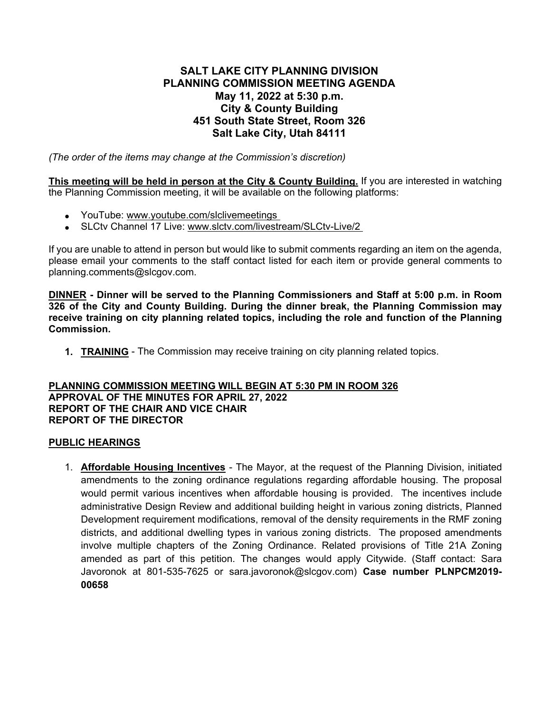## **SALT LAKE CITY PLANNING DIVISION PLANNING COMMISSION MEETING AGENDA May 11, 2022 at 5:30 p.m. City & County Building 451 South State Street, Room 326 Salt Lake City, Utah 84111**

*(The order of the items may change at the Commission's discretion)*

**This meeting will be held in person at the City & County Building.** If you are interested in watching the Planning Commission meeting, it will be available on the following platforms:

- YouTube: [www.youtube.com/slclivemeetings](http://www.youtube.com/slclivemeetings)
- SLCtv Channel 17 Live: [www.slctv.com/livestream/SLCtv-Live/2](http://www.slctv.com/livestream/SLCtv-Live/2)

If you are unable to attend in person but would like to submit comments regarding an item on the agenda, please email your comments to the staff contact listed for each item or provide general comments to planning.comments@slcgov.com.

**DINNER - Dinner will be served to the Planning Commissioners and Staff at 5:00 p.m. in Room 326 of the City and County Building. During the dinner break, the Planning Commission may receive training on city planning related topics, including the role and function of the Planning Commission.** 

**1. TRAINING** - The Commission may receive training on city planning related topics.

## **PLANNING COMMISSION MEETING WILL BEGIN AT 5:30 PM IN ROOM 326 APPROVAL OF THE MINUTES FOR APRIL 27, 2022 REPORT OF THE CHAIR AND VICE CHAIR REPORT OF THE DIRECTOR**

## **PUBLIC HEARINGS**

1. **Affordable Housing Incentives** - The Mayor, at the request of the Planning Division, initiated amendments to the zoning ordinance regulations regarding affordable housing. The proposal would permit various incentives when affordable housing is provided. The incentives include administrative Design Review and additional building height in various zoning districts, Planned Development requirement modifications, removal of the density requirements in the RMF zoning districts, and additional dwelling types in various zoning districts. The proposed amendments involve multiple chapters of the Zoning Ordinance. Related provisions of Title 21A Zoning amended as part of this petition. The changes would apply Citywide. (Staff contact: Sara Javoronok at 801-535-7625 or sara.javoronok@slcgov.com) **Case number PLNPCM2019- 00658**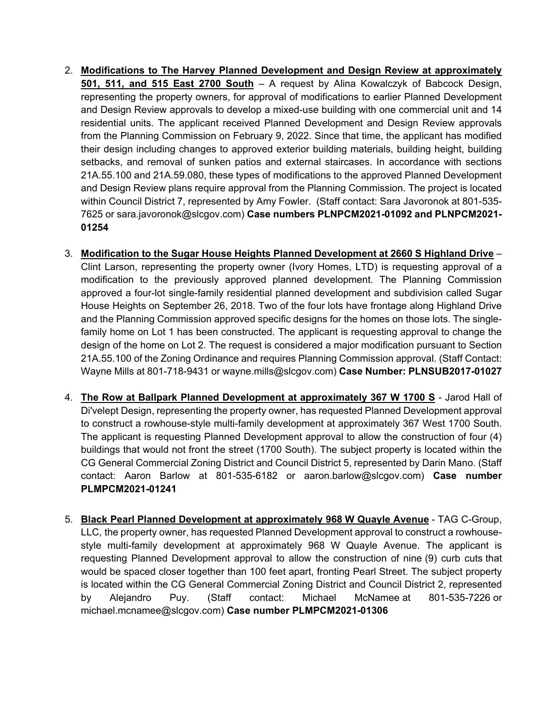- 2. **Modifications to The Harvey Planned Development and Design Review at approximately 501, 511, and 515 East 2700 South** – A request by Alina Kowalczyk of Babcock Design, representing the property owners, for approval of modifications to earlier Planned Development and Design Review approvals to develop a mixed-use building with one commercial unit and 14 residential units. The applicant received Planned Development and Design Review approvals from the Planning Commission on February 9, 2022. Since that time, the applicant has modified their design including changes to approved exterior building materials, building height, building setbacks, and removal of sunken patios and external staircases. In accordance with sections 21A.55.100 and 21A.59.080, these types of modifications to the approved Planned Development and Design Review plans require approval from the Planning Commission. The project is located within Council District 7, represented by Amy Fowler. (Staff contact: Sara Javoronok at 801-535- 7625 or sara.javoronok@slcgov.com) **Case numbers PLNPCM2021-01092 and PLNPCM2021- 01254**
- 3. **Modification to the Sugar House Heights Planned Development at 2660 S Highland Drive** Clint Larson, representing the property owner (Ivory Homes, LTD) is requesting approval of a modification to the previously approved planned development. The Planning Commission approved a four-lot single-family residential planned development and subdivision called Sugar House Heights on September 26, 2018. Two of the four lots have frontage along Highland Drive and the Planning Commission approved specific designs for the homes on those lots. The singlefamily home on Lot 1 has been constructed. The applicant is requesting approval to change the design of the home on Lot 2. The request is considered a major modification pursuant to Section 21A.55.100 of the Zoning Ordinance and requires Planning Commission approval. (Staff Contact: Wayne Mills at 801-718-9431 or wayne.mills@slcgov.com) **Case Number: PLNSUB2017-01027**
- 4. **The Row at Ballpark Planned Development at approximately 367 W 1700 S** Jarod Hall of Di'velept Design, representing the property owner, has requested Planned Development approval to construct a rowhouse-style multi-family development at approximately 367 West 1700 South. The applicant is requesting Planned Development approval to allow the construction of four (4) buildings that would not front the street (1700 South). The subject property is located within the CG General Commercial Zoning District and Council District 5, represented by Darin Mano. (Staff contact: Aaron Barlow at 801-535-6182 or aaron.barlow@slcgov.com) **Case number PLMPCM2021-01241**
- 5. **Black Pearl Planned Development at approximately 968 W Quayle Avenue** TAG C-Group, LLC, the property owner, has requested Planned Development approval to construct a rowhousestyle multi-family development at approximately 968 W Quayle Avenue. The applicant is requesting Planned Development approval to allow the construction of nine (9) curb cuts that would be spaced closer together than 100 feet apart, fronting Pearl Street. The subject property is located within the CG General Commercial Zoning District and Council District 2, represented by Alejandro Puy. (Staff contact: Michael McNamee at 801-535-7226 or michael.mcnamee@slcgov.com) **Case number PLMPCM2021-01306**